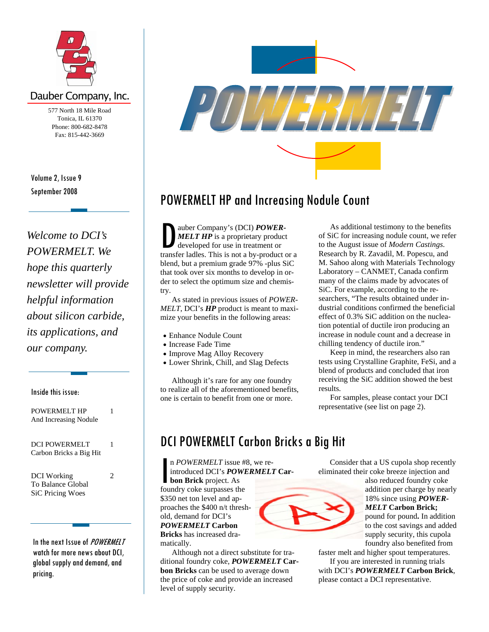

### Dauber Company, Inc.

577 North 18 Mile Road Tonica, IL 61370 Phone: 800-682-8478 Fax: 815-442-3669

September 2008 Volume 2, Issue 9

*Welcome to DCI's POWERMELT. We hope this quarterly newsletter will provide helpful information about silicon carbide, its applications, and our company.* 

Inside this issue:

| POWERMELT HP<br>And Increasing Nodule                       |   |
|-------------------------------------------------------------|---|
| <b>DCI POWERMELT</b><br>Carbon Bricks a Big Hit             | 1 |
| DCI Working<br>To Balance Global<br><b>SiC Pricing Woes</b> | 2 |

In the next Issue of *POWERMELT* watch for more news about DCI, global supply and demand, and pricing.



## POWERMELT HP and Increasing Nodule Count

auber Company's (DCI) **POWER-**<br>MELT HP is a proprietary product<br>developed for use in treatment or<br>transfer ladles. This is not a by-product *MELT HP* is a proprietary product developed for use in treatment or transfer ladles. This is not a by-product or a blend, but a premium grade 97% -plus SiC that took over six months to develop in order to select the optimum size and chemistry.

 As stated in previous issues of *POWER-MELT*, DCI's *HP* product is meant to maximize your benefits in the following areas:

- Enhance Nodule Count
- Increase Fade Time
- Improve Mag Alloy Recovery
- Lower Shrink, Chill, and Slag Defects

 Although it's rare for any one foundry to realize all of the aforementioned benefits, one is certain to benefit from one or more.

 As additional testimony to the benefits of SiC for increasing nodule count, we refer to the August issue of *Modern Castings*. Research by R. Zavadil, M. Popescu, and M. Sahoo along with Materials Technology Laboratory – CANMET, Canada confirm many of the claims made by advocates of SiC. For example, according to the researchers, "The results obtained under industrial conditions confirmed the beneficial effect of 0.3% SiC addition on the nucleation potential of ductile iron producing an increase in nodule count and a decrease in chilling tendency of ductile iron."

 Keep in mind, the researchers also ran tests using Crystalline Graphite, FeSi, and a blend of products and concluded that iron receiving the SiC addition showed the best results.

 For samples, please contact your DCI representative (see list on page 2).

## DCI POWERMELT Carbon Bricks a Big Hit

n *POWERMELT* issue #8, we re-<br>introduced DCI's *POWERMELT*<br>bon Brick project. As<br>foundry coke surpasses the introduced DCI's *POWERMELT* **Carbon Brick** project. As

foundry coke surpasses the \$350 net ton level and approaches the \$400 n/t threshold, demand for DCI's *POWERMELT* **Carbon Bricks** has increased dramatically.

 Although not a direct substitute for traditional foundry coke, *POWERMELT* **Carbon Bricks** can be used to average down the price of coke and provide an increased level of supply security.



also reduced foundry coke addition per charge by nearly 18% since using *POWER-MELT* **Carbon Brick;**  pound for pound**.** In addition to the cost savings and added

supply security, this cupola foundry also benefited from faster melt and higher spout temperatures.

 If you are interested in running trials with DCI's *POWERMELT* **Carbon Brick**, please contact a DCI representative.